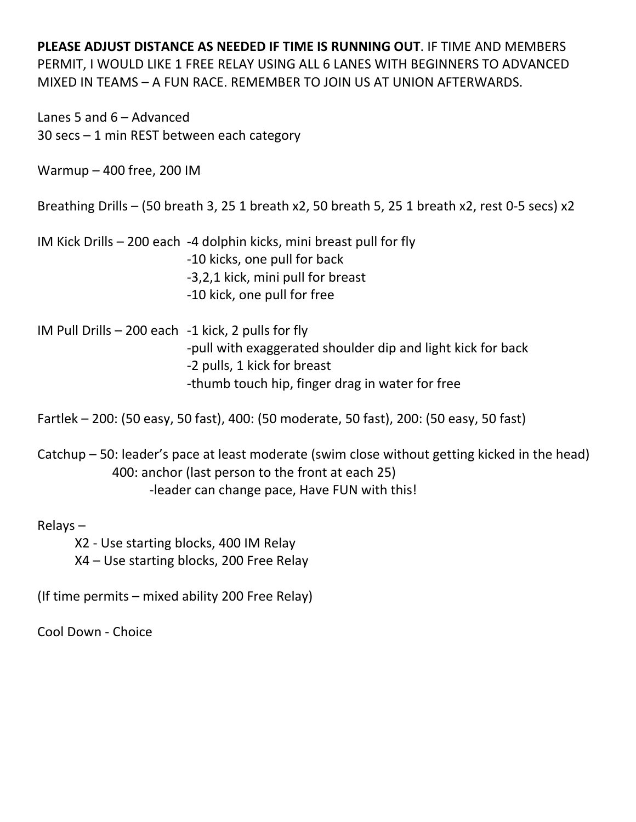Lanes 5 and 6 – Advanced 30 secs – 1 min REST between each category

Warmup – 400 free, 200 IM

Breathing Drills – (50 breath 3, 25 1 breath x2, 50 breath 5, 25 1 breath x2, rest 0‐5 secs) x2

IM Kick Drills – 200 each ‐4 dolphin kicks, mini breast pull for fly ‐10 kicks, one pull for back ‐3,2,1 kick, mini pull for breast ‐10 kick, one pull for free

IM Pull Drills – 200 each ‐1 kick, 2 pulls for fly ‐pull with exaggerated shoulder dip and light kick for back ‐2 pulls, 1 kick for breast ‐thumb touch hip, finger drag in water for free

Fartlek – 200: (50 easy, 50 fast), 400: (50 moderate, 50 fast), 200: (50 easy, 50 fast)

Catchup – 50: leader's pace at least moderate (swim close without getting kicked in the head) 400: anchor (last person to the front at each 25) ‐leader can change pace, Have FUN with this!

Relays –

X2 ‐ Use starting blocks, 400 IM Relay X4 – Use starting blocks, 200 Free Relay

(If time permits – mixed ability 200 Free Relay)

Cool Down ‐ Choice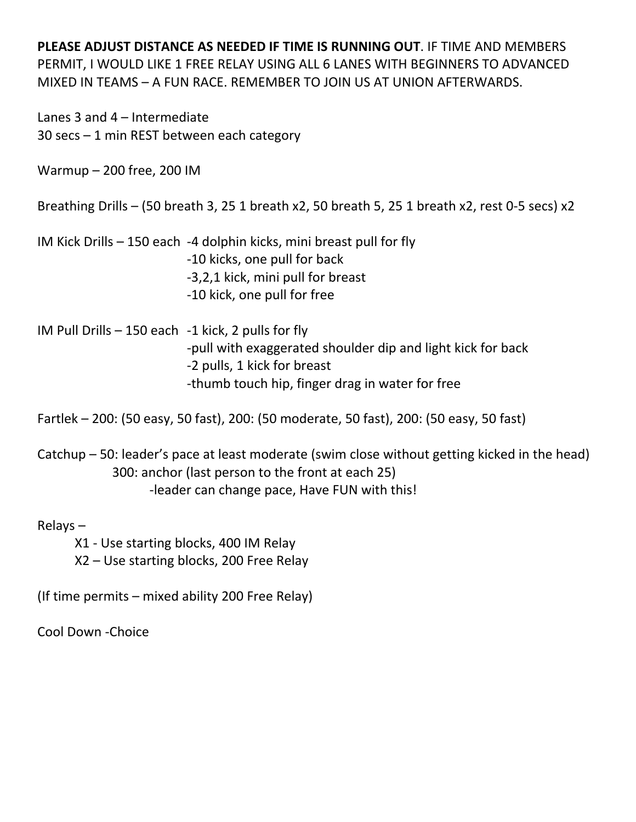Lanes 3 and 4 – Intermediate 30 secs – 1 min REST between each category

Warmup – 200 free, 200 IM

Breathing Drills – (50 breath 3, 25 1 breath x2, 50 breath 5, 25 1 breath x2, rest 0‐5 secs) x2

IM Kick Drills – 150 each ‐4 dolphin kicks, mini breast pull for fly ‐10 kicks, one pull for back ‐3,2,1 kick, mini pull for breast ‐10 kick, one pull for free

IM Pull Drills – 150 each ‐1 kick, 2 pulls for fly ‐pull with exaggerated shoulder dip and light kick for back ‐2 pulls, 1 kick for breast ‐thumb touch hip, finger drag in water for free

Fartlek – 200: (50 easy, 50 fast), 200: (50 moderate, 50 fast), 200: (50 easy, 50 fast)

Catchup – 50: leader's pace at least moderate (swim close without getting kicked in the head) 300: anchor (last person to the front at each 25) ‐leader can change pace, Have FUN with this!

Relays –

X1 ‐ Use starting blocks, 400 IM Relay X2 – Use starting blocks, 200 Free Relay

(If time permits – mixed ability 200 Free Relay)

Cool Down ‐Choice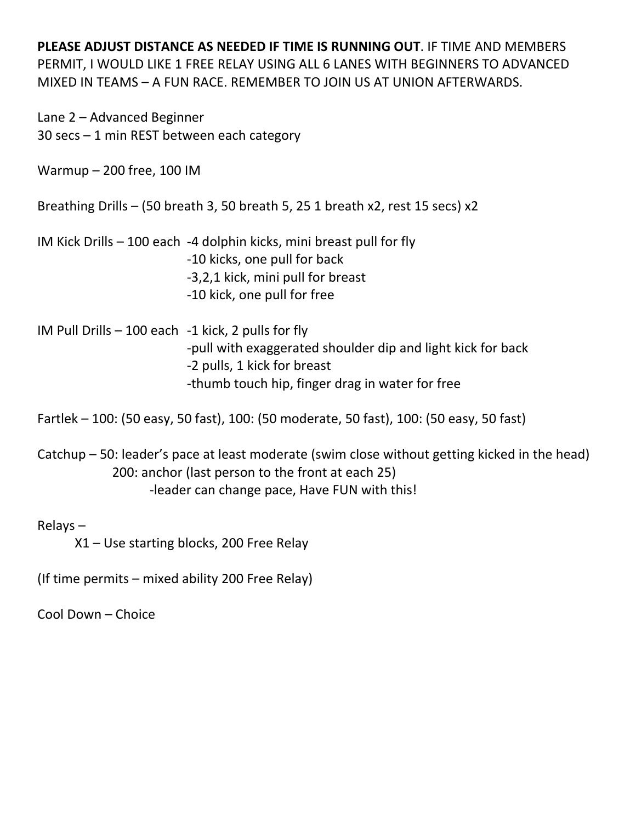Lane 2 – Advanced Beginner 30 secs – 1 min REST between each category

Warmup – 200 free, 100 IM

Breathing Drills – (50 breath 3, 50 breath 5, 25 1 breath x2, rest 15 secs) x2

IM Kick Drills – 100 each ‐4 dolphin kicks, mini breast pull for fly ‐10 kicks, one pull for back ‐3,2,1 kick, mini pull for breast ‐10 kick, one pull for free

IM Pull Drills – 100 each ‐1 kick, 2 pulls for fly ‐pull with exaggerated shoulder dip and light kick for back ‐2 pulls, 1 kick for breast ‐thumb touch hip, finger drag in water for free

Fartlek – 100: (50 easy, 50 fast), 100: (50 moderate, 50 fast), 100: (50 easy, 50 fast)

Catchup – 50: leader's pace at least moderate (swim close without getting kicked in the head) 200: anchor (last person to the front at each 25) ‐leader can change pace, Have FUN with this!

Relays –

X1 – Use starting blocks, 200 Free Relay

(If time permits – mixed ability 200 Free Relay)

Cool Down – Choice